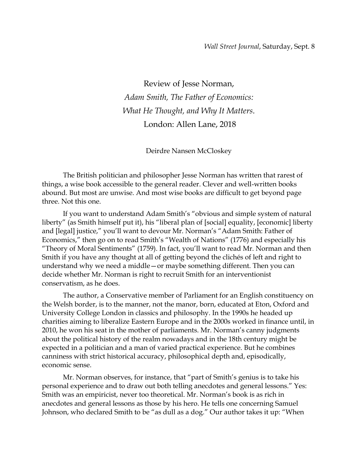Review of Jesse Norman, *Adam Smith, The Father of Economics: What He Thought, and Why It Matters*. London: Allen Lane, 2018

Deirdre Nansen McCloskey

The British politician and philosopher Jesse Norman has written that rarest of things, a wise book accessible to the general reader. Clever and well-written books abound. But most are unwise. And most wise books are difficult to get beyond page three. Not this one.

If you want to understand Adam Smith's "obvious and simple system of natural liberty" (as Smith himself put it), his "liberal plan of [social] equality, [economic] liberty and [legal] justice," you'll want to devour Mr. Norman's "Adam Smith: Father of Economics," then go on to read Smith's "Wealth of Nations" (1776) and especially his "Theory of Moral Sentiments" (1759). In fact, you'll want to read Mr. Norman and then Smith if you have any thought at all of getting beyond the clichés of left and right to understand why we need a middle—or maybe something different. Then you can decide whether Mr. Norman is right to recruit Smith for an interventionist conservatism, as he does.

The author, a Conservative member of Parliament for an English constituency on the Welsh border, is to the manner, not the manor, born, educated at Eton, Oxford and University College London in classics and philosophy. In the 1990s he headed up charities aiming to liberalize Eastern Europe and in the 2000s worked in finance until, in 2010, he won his seat in the mother of parliaments. Mr. Norman's canny judgments about the political history of the realm nowadays and in the 18th century might be expected in a politician and a man of varied practical experience. But he combines canniness with strict historical accuracy, philosophical depth and, episodically, economic sense.

Mr. Norman observes, for instance, that "part of Smith's genius is to take his personal experience and to draw out both telling anecdotes and general lessons." Yes: Smith was an empiricist, never too theoretical. Mr. Norman's book is as rich in anecdotes and general lessons as those by his hero. He tells one concerning Samuel Johnson, who declared Smith to be "as dull as a dog." Our author takes it up: "When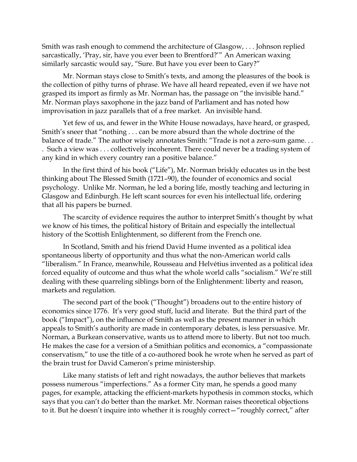Smith was rash enough to commend the architecture of Glasgow, . . . Johnson replied sarcastically, 'Pray, sir, have you ever been to Brentford?'" An American waxing similarly sarcastic would say, "Sure. But have you ever been to Gary?"

Mr. Norman stays close to Smith's texts, and among the pleasures of the book is the collection of pithy turns of phrase. We have all heard repeated, even if we have not grasped its import as firmly as Mr. Norman has, the passage on "the invisible hand." Mr. Norman plays saxophone in the jazz band of Parliament and has noted how improvisation in jazz parallels that of a free market. An invisible hand.

Yet few of us, and fewer in the White House nowadays, have heard, or grasped, Smith's sneer that "nothing . . . can be more absurd than the whole doctrine of the balance of trade." The author wisely annotates Smith: "Trade is not a zero-sum game... . Such a view was . . . collectively incoherent. There could never be a trading system of any kind in which every country ran a positive balance."

In the first third of his book ("Life"), Mr. Norman briskly educates us in the best thinking about The Blessed Smith (1721–90), the founder of economics and social psychology. Unlike Mr. Norman, he led a boring life, mostly teaching and lecturing in Glasgow and Edinburgh. He left scant sources for even his intellectual life, ordering that all his papers be burned.

The scarcity of evidence requires the author to interpret Smith's thought by what we know of his times, the political history of Britain and especially the intellectual history of the Scottish Enlightenment, so different from the French one.

In Scotland, Smith and his friend David Hume invented as a political idea spontaneous liberty of opportunity and thus what the non-American world calls "liberalism." In France, meanwhile, Rousseau and Helvétius invented as a political idea forced equality of outcome and thus what the whole world calls "socialism." We're still dealing with these quarreling siblings born of the Enlightenment: liberty and reason, markets and regulation.

The second part of the book ("Thought") broadens out to the entire history of economics since 1776. It's very good stuff, lucid and literate. But the third part of the book ("Impact"), on the influence of Smith as well as the present manner in which appeals to Smith's authority are made in contemporary debates, is less persuasive. Mr. Norman, a Burkean conservative, wants us to attend more to liberty. But not too much. He makes the case for a version of a Smithian politics and economics, a "compassionate conservatism," to use the title of a co-authored book he wrote when he served as part of the brain trust for David Cameron's prime ministership.

Like many statists of left and right nowadays, the author believes that markets possess numerous "imperfections." As a former City man, he spends a good many pages, for example, attacking the efficient-markets hypothesis in common stocks, which says that you can't do better than the market. Mr. Norman raises theoretical objections to it. But he doesn't inquire into whether it is roughly correct—"roughly correct," after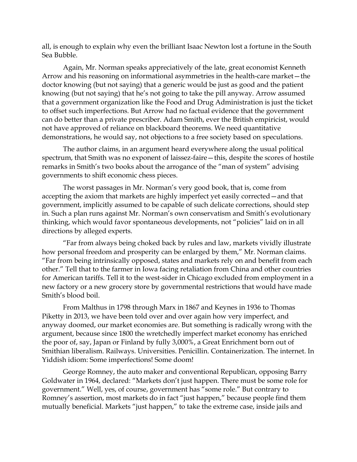all, is enough to explain why even the brilliant Isaac Newton lost a fortune in the South Sea Bubble.

Again, Mr. Norman speaks appreciatively of the late, great economist Kenneth Arrow and his reasoning on informational asymmetries in the health-care market—the doctor knowing (but not saying) that a generic would be just as good and the patient knowing (but not saying) that he's not going to take the pill anyway. Arrow assumed that a government organization like the Food and Drug Administration is just the ticket to offset such imperfections. But Arrow had no factual evidence that the government can do better than a private prescriber. Adam Smith, ever the British empiricist, would not have approved of reliance on blackboard theorems. We need quantitative demonstrations, he would say, not objections to a free society based on speculations.

The author claims, in an argument heard everywhere along the usual political spectrum, that Smith was no exponent of laissez-faire—this, despite the scores of hostile remarks in Smith's two books about the arrogance of the "man of system" advising governments to shift economic chess pieces.

The worst passages in Mr. Norman's very good book, that is, come from accepting the axiom that markets are highly imperfect yet easily corrected—and that government, implicitly assumed to be capable of such delicate corrections, should step in. Such a plan runs against Mr. Norman's own conservatism and Smith's evolutionary thinking, which would favor spontaneous developments, not "policies" laid on in all directions by alleged experts.

"Far from always being choked back by rules and law, markets vividly illustrate how personal freedom and prosperity can be enlarged by them," Mr. Norman claims. "Far from being intrinsically opposed, states and markets rely on and benefit from each other." Tell that to the farmer in Iowa facing retaliation from China and other countries for American tariffs. Tell it to the west-sider in Chicago excluded from employment in a new factory or a new grocery store by governmental restrictions that would have made Smith's blood boil.

From Malthus in 1798 through Marx in 1867 and Keynes in 1936 to Thomas Piketty in 2013, we have been told over and over again how very imperfect, and anyway doomed, our market economies are. But something is radically wrong with the argument, because since 1800 the wretchedly imperfect market economy has enriched the poor of, say, Japan or Finland by fully 3,000%, a Great Enrichment born out of Smithian liberalism. Railways. Universities. Penicillin. Containerization. The internet. In Yiddish idiom: Some imperfections! Some doom!

George Romney, the auto maker and conventional Republican, opposing Barry Goldwater in 1964, declared: "Markets don't just happen. There must be some role for government." Well, yes, of course, government has "some role." But contrary to Romney's assertion, most markets do in fact "just happen," because people find them mutually beneficial. Markets "just happen," to take the extreme case, inside jails and